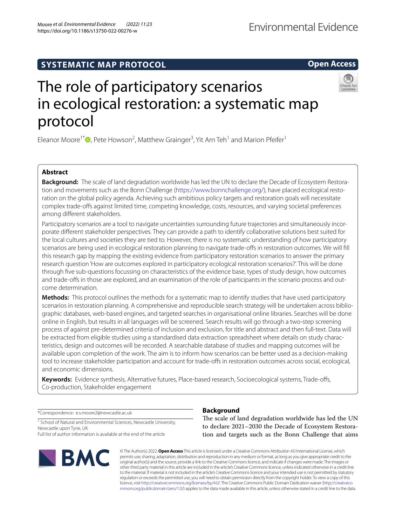Moore *et al. Environmental Evidence (2022) 11:23*  https://doi.org/10.1186/s13750-022-00276-w

**Open Access**

# The role of participatory scenarios in ecological restoration: a systematic map protocol

Eleanor Moore<sup>1[\\*](http://orcid.org/0000-0003-3396-6912)</sup><sup>O</sup>, Pete Howson<sup>2</sup>, Matthew Grainger<sup>3</sup>, Yit Arn Teh<sup>1</sup> and Marion Pfeifer<sup>1</sup>

# **Abstract**

**Background:** The scale of land degradation worldwide has led the UN to declare the Decade of Ecosystem Restoration and movements such as the Bonn Challenge [\(https://www.bonnchallenge.org/\)](https://www.bonnchallenge.org/), have placed ecological restoration on the global policy agenda. Achieving such ambitious policy targets and restoration goals will necessitate complex trade-ofs against limited time, competing knowledge, costs, resources, and varying societal preferences among diferent stakeholders.

Participatory scenarios are a tool to navigate uncertainties surrounding future trajectories and simultaneously incorporate diferent stakeholder perspectives. They can provide a path to identify collaborative solutions best suited for the local cultures and societies they are tied to. However, there is no systematic understanding of how participatory scenarios are being used in ecological restoration planning to navigate trade-offs in restoration outcomes. We will fill this research gap by mapping the existing evidence from participatory restoration scenarios to answer the primary research question 'How are outcomes explored in participatory ecological restoration scenarios?'. This will be done through fve sub-questions focussing on characteristics of the evidence base, types of study design, how outcomes and trade-offs in those are explored, and an examination of the role of participants in the scenario process and outcome determination.

**Methods:** This protocol outlines the methods for a systematic map to identify studies that have used participatory scenarios in restoration planning. A comprehensive and reproducible search strategy will be undertaken across bibliographic databases, web-based engines, and targeted searches in organisational online libraries. Searches will be done online in English, but results in all languages will be screened. Search results will go through a two-step screening process of against pre-determined criteria of inclusion and exclusion, for title and abstract and then full-text. Data will be extracted from eligible studies using a standardised data extraction spreadsheet where details on study characteristics, design and outcomes will be recorded. A searchable database of studies and mapping outcomes will be available upon completion of the work. The aim is to inform how scenarios can be better used as a decision-making tool to increase stakeholder participation and account for trade-offs in restoration outcomes across social, ecological, and economic dimensions.

**Keywords:** Evidence synthesis, Alternative futures, Place-based research, Socioecological systems, Trade-ofs, Co-production, Stakeholder engagement

\*Correspondence: e.s.moore2@newcastle.ac.uk

<sup>1</sup> School of Natural and Environmental Sciences, Newcastle University, Newcastle upon Tyne, UK

Full list of author information is available at the end of the article



# **Background**

The scale of land degradation worldwide has led the UN to declare 2021–2030 the Decade of Ecosystem Restoration and targets such as the Bonn Challenge that aims

© The Author(s) 2022. **Open Access** This article is licensed under a Creative Commons Attribution 4.0 International License, which permits use, sharing, adaptation, distribution and reproduction in any medium or format, as long as you give appropriate credit to the original author(s) and the source, provide a link to the Creative Commons licence, and indicate if changes were made. The images or other third party material in this article are included in the article's Creative Commons licence, unless indicated otherwise in a credit line to the material. If material is not included in the article's Creative Commons licence and your intended use is not permitted by statutory regulation or exceeds the permitted use, you will need to obtain permission directly from the copyright holder. To view a copy of this licence, visit [http://creativecommons.org/licenses/by/4.0/.](http://creativecommons.org/licenses/by/4.0/) The Creative Commons Public Domain Dedication waiver ([http://creativeco](http://creativecommons.org/publicdomain/zero/1.0/) [mmons.org/publicdomain/zero/1.0/](http://creativecommons.org/publicdomain/zero/1.0/)) applies to the data made available in this article, unless otherwise stated in a credit line to the data.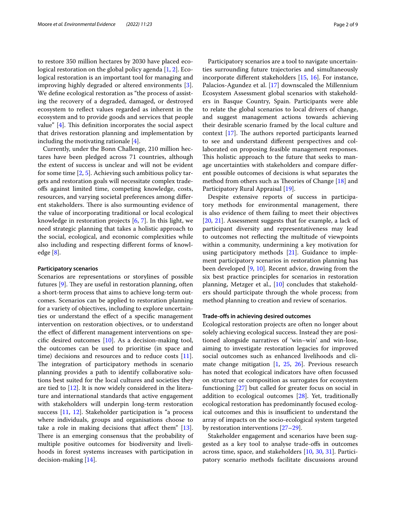to restore 350 million hectares by 2030 have placed ecological restoration on the global policy agenda [[1,](#page-6-0) [2](#page-7-0)]. Ecological restoration is an important tool for managing and improving highly degraded or altered environments [\[3](#page-7-1)]. We defne ecological restoration as "the process of assisting the recovery of a degraded, damaged, or destroyed ecosystem to refect values regarded as inherent in the ecosystem and to provide goods and services that people value"  $[4]$  $[4]$ . This definition incorporates the social aspect that drives restoration planning and implementation by including the motivating rationale [[4\]](#page-7-2).

Currently, under the Bonn Challenge, 210 million hectares have been pledged across 71 countries, although the extent of success is unclear and will not be evident for some time [[2,](#page-7-0) [5](#page-7-3)]. Achieving such ambitious policy targets and restoration goals will necessitate complex tradeofs against limited time, competing knowledge, costs, resources, and varying societal preferences among diferent stakeholders. There is also surmounting evidence of the value of incorporating traditional or local ecological knowledge in restoration projects [[6,](#page-7-4) [7\]](#page-7-5). In this light, we need strategic planning that takes a holistic approach to the social, ecological, and economic complexities while also including and respecting diferent forms of knowledge [\[8](#page-7-6)].

#### **Participatory scenarios**

Scenarios are representations or storylines of possible futures  $[9]$  $[9]$ . They are useful in restoration planning, often a short-term process that aims to achieve long-term outcomes. Scenarios can be applied to restoration planning for a variety of objectives, including to explore uncertainties or understand the efect of a specifc management intervention on restoration objectives, or to understand the efect of diferent management interventions on specifc desired outcomes [[10\]](#page-7-8). As a decision-making tool, the outcomes can be used to prioritise (in space and time) decisions and resources and to reduce costs [\[11](#page-7-9)]. The integration of participatory methods in scenario planning provides a path to identify collaborative solutions best suited for the local cultures and societies they are tied to [\[12](#page-7-10)]. It is now widely considered in the literature and international standards that active engagement with stakeholders will underpin long-term restoration success [[11,](#page-7-9) [12](#page-7-10)]. Stakeholder participation is "a process where individuals, groups and organisations choose to take a role in making decisions that affect them"  $[13]$  $[13]$ . There is an emerging consensus that the probability of multiple positive outcomes for biodiversity and livelihoods in forest systems increases with participation in decision-making [\[14](#page-7-12)].

Participatory scenarios are a tool to navigate uncertainties surrounding future trajectories and simultaneously incorporate diferent stakeholders [\[15](#page-7-13), [16\]](#page-7-14). For instance, Palacios-Agundez et al. [\[17](#page-7-15)] downscaled the Millennium Ecosystem Assessment global scenarios with stakeholders in Basque Country, Spain. Participants were able to relate the global scenarios to local drivers of change, and suggest management actions towards achieving their desirable scenario framed by the local culture and context  $[17]$  $[17]$ . The authors reported participants learned to see and understand diferent perspectives and collaborated on proposing feasible management responses. This holistic approach to the future that seeks to manage uncertainties with stakeholders and compare diferent possible outcomes of decisions is what separates the method from others such as Theories of Change  $[18]$  $[18]$  and Participatory Rural Appraisal [\[19](#page-7-17)].

Despite extensive reports of success in participatory methods for environmental management, there is also evidence of them failing to meet their objectives [[20,](#page-7-18) [21\]](#page-7-19). Assessment suggests that for example, a lack of participant diversity and representativeness may lead to outcomes not refecting the multitude of viewpoints within a community, undermining a key motivation for using participatory methods [[21\]](#page-7-19). Guidance to implement participatory scenarios in restoration planning has been developed [[9](#page-7-7), [10\]](#page-7-8). Recent advice, drawing from the six best practice principles for scenarios in restoration planning, Metzger et al., [[10](#page-7-8)] concludes that stakeholders should participate through the whole process; from method planning to creation and review of scenarios.

#### **Trade‑ofs in achieving desired outcomes**

Ecological restoration projects are often no longer about solely achieving ecological success. Instead they are positioned alongside narratives of 'win–win' and win-lose, aiming to investigate restoration legacies for improved social outcomes such as enhanced livelihoods and climate change mitigation [\[1](#page-6-0), [25](#page-7-20), [26](#page-7-21)]. Previous research has noted that ecological indicators have often focussed on structure or composition as surrogates for ecosystem functioning [[27](#page-7-22)] but called for greater focus on social in addition to ecological outcomes [[28\]](#page-7-23). Yet, traditionally ecological restoration has predominantly focused ecological outcomes and this is insufficient to understand the array of impacts on the socio-ecological system targeted by restoration interventions [[27–](#page-7-22)[29](#page-7-24)].

Stakeholder engagement and scenarios have been suggested as a key tool to analyse trade-ofs in outcomes across time, space, and stakeholders [[10,](#page-7-8) [30,](#page-7-25) [31\]](#page-7-26). Participatory scenario methods facilitate discussions around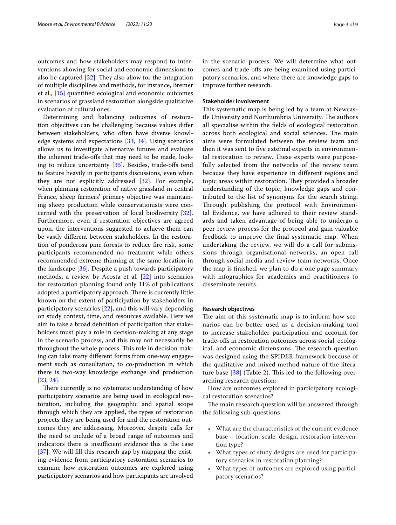outcomes and how stakeholders may respond to interventions allowing for social and economic dimensions to also be captured  $[32]$  $[32]$ . They also allow for the integration of multiple disciplines and methods, for instance, Bremer et al., [\[15](#page-7-13)] quantifed ecological and economic outcomes in scenarios of grassland restoration alongside qualitative evaluation of cultural ones.

Determining and balancing outcomes of restoration objectives can be challenging because values difer between stakeholders, who often have diverse knowledge systems and expectations [\[33](#page-7-28), [34\]](#page-7-29). Using scenarios allows us to investigate alternative futures and evaluate the inherent trade-ofs that may need to be made, looking to reduce uncertainty  $[35]$ . Besides, trade-offs tend to feature heavily in participants discussions, even when they are not explicitly addressed [[32\]](#page-7-27). For example, when planning restoration of native grassland in central France, sheep farmers' primary objective was maintaining sheep production while conservationists were concerned with the preservation of local biodiversity [\[32](#page-7-27)]. Furthermore, even if restoration objectives are agreed upon, the interventions suggested to achieve them can be vastly diferent between stakeholders. In the restoration of ponderosa pine forests to reduce fre risk, some participants recommended no treatment while others recommended extreme thinning at the same location in the landscape [\[36](#page-7-31)]. Despite a push towards participatory methods, a review by Acosta et al. [[22](#page-7-32)] into scenarios for restoration planning found only 11% of publications adopted a participatory approach. There is currently little known on the extent of participation by stakeholders in participatory scenarios [\[22](#page-7-32)], and this will vary depending on study context, time, and resources available. Here we aim to take a broad defnition of participation that stakeholders must play a role in decision-making at any stage in the scenario process, and this may not necessarily be throughout the whole process. This role in decision making can take many diferent forms from one-way engagement such as consultation, to co-production in which there is two-way knowledge exchange and production [[23,](#page-7-33) [24](#page-7-34)].

There currently is no systematic understanding of how participatory scenarios are being used in ecological restoration, including the geographic and spatial scope through which they are applied, the types of restoration projects they are being used for and the restoration outcomes they are addressing. Moreover, despite calls for the need to include of a broad range of outcomes and indicators there is insufficient evidence this is the case [[37\]](#page-7-35). We will fll this research gap by mapping the existing evidence from participatory restoration scenarios to examine how restoration outcomes are explored using participatory scenarios and how participants are involved in the scenario process. We will determine what outcomes and trade-ofs are being examined using participatory scenarios, and where there are knowledge gaps to improve further research.

#### **Stakeholder involvement**

This systematic map is being led by a team at Newcastle University and Northumbria University. The authors all specialise within the felds of ecological restoration across both ecological and social sciences. The main aims were formulated between the review team and then it was sent to fve external experts in environmental restoration to review. These experts were purposefully selected from the networks of the review team because they have experience in diferent regions and topic areas within restoration. They provided a broader understanding of the topic, knowledge gaps and contributed to the list of synonyms for the search string. Through publishing the protocol with Environmental Evidence, we have adhered to their review standards and taken advantage of being able to undergo a peer review process for the protocol and gain valuable feedback to improve the fnal systematic map. When undertaking the review, we will do a call for submissions through organisational networks, an open call through social media and review team networks. Once the map is fnished, we plan to do a one page summary with infographics for academics and practitioners to disseminate results.

### **Research objectives**

The aim of this systematic map is to inform how scenarios can be better used as a decision-making tool to increase stakeholder participation and account for trade-ofs in restoration outcomes across social, ecological, and economic dimensions. The research question was designed using the SPIDER framework because of the qualitative and mixed method nature of the literature base  $[38]$  $[38]$  $[38]$  (Table [2\)](#page-5-0). This led to the following overarching research question:

How are outcomes explored in participatory ecological restoration scenarios?

The main research question will be answered through the following sub-questions:

- What are the characteristics of the current evidence base – location, scale, design, restoration intervention type?
- What types of study designs are used for participatory scenarios in restoration planning?
- What types of outcomes are explored using participatory scenarios?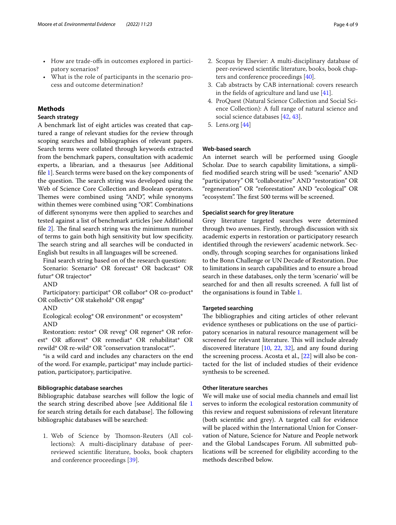- How are trade-ofs in outcomes explored in participatory scenarios?
- What is the role of participants in the scenario process and outcome determination?

# **Methods**

## **Search strategy**

A benchmark list of eight articles was created that captured a range of relevant studies for the review through scoping searches and bibliographies of relevant papers. Search terms were collated through keywords extracted from the benchmark papers, consultation with academic experts, a librarian, and a thesaurus [see Additional fle [1](#page-6-1)]. Search terms were based on the key components of the question. The search string was developed using the Web of Science Core Collection and Boolean operators. Themes were combined using "AND", while synonyms within themes were combined using "OR". Combinations of diferent synonyms were then applied to searches and tested against a list of benchmark articles [see Additional file  $2$ . The final search string was the minimum number of terms to gain both high sensitivity but low specifcity. The search string and all searches will be conducted in English but results in all languages will be screened.

Final search string based on of the research question: Scenario: Scenario\* OR forecast\* OR backcast\* OR futur\* OR trajector\*

AND

Participatory: participat\* OR collabor\* OR co-product\* OR collectiv\* OR stakehold\* OR engag\*

AND

Ecological: ecolog\* OR environment\* or ecosystem\* AND

Restoration: restor\* OR reveg\* OR regener\* OR reforest\* OR aforest\* OR remediat\* OR rehabilitat\* OR rewild\* OR re-wild\* OR "conservation translocat\*".

\*is a wild card and includes any characters on the end of the word. For example, participat\* may include participation, participatory, participative.

## **Bibliographic database searches**

Bibliographic database searches will follow the logic of the search string described above [see Additional fle [1](#page-6-1) for search string details for each database]. The following bibliographic databases will be searched:

1. Web of Science by Thomson-Reuters (All collections): A multi-disciplinary database of peerreviewed scientifc literature, books, book chapters and conference proceedings [\[39](#page-7-37)].

- 2. Scopus by Elsevier: A multi-disciplinary database of peer-reviewed scientifc literature, books, book chapters and conference proceedings [[40](#page-7-38)].
- 3. Cab abstracts by CAB international: covers research in the felds of agriculture and land use [[41](#page-7-39)].
- 4. ProQuest (Natural Science Collection and Social Science Collection): A full range of natural science and social science databases [\[42,](#page-7-40) [43](#page-7-41)].
- 5. Lens.org [[44\]](#page-7-42)

# **Web‑based search**

An internet search will be performed using Google Scholar. Due to search capability limitations, a simplifed modifed search string will be used: "scenario" AND "participatory" OR "collaborative" AND "restoration" OR "regeneration" OR "reforestation" AND "ecological" OR "ecosystem". The first 500 terms will be screened.

## **Specialist search for grey literature**

Grey literature targeted searches were determined through two avenues. Firstly, through discussion with six academic experts in restoration or participatory research identifed through the reviewers' academic network. Secondly, through scoping searches for organisations linked to the Bonn Challenge or UN Decade of Restoration. Due to limitations in search capabilities and to ensure a broad search in these databases, only the term 'scenario' will be searched for and then all results screened. A full list of the organisations is found in Table [1.](#page-4-0)

## **Targeted searching**

The bibliographies and citing articles of other relevant evidence syntheses or publications on the use of participatory scenarios in natural resource management will be screened for relevant literature. This will include already discovered literature [[10](#page-7-8), [22](#page-7-32), [32\]](#page-7-27), and any found during the screening process. Acosta et al., [\[22\]](#page-7-32) will also be contacted for the list of included studies of their evidence synthesis to be screened.

## **Other literature searches**

We will make use of social media channels and email list serves to inform the ecological restoration community of this review and request submissions of relevant literature (both scientifc and grey). A targeted call for evidence will be placed within the International Union for Conservation of Nature, Science for Nature and People network and the Global Landscapes Forum. All submitted publications will be screened for eligibility according to the methods described below.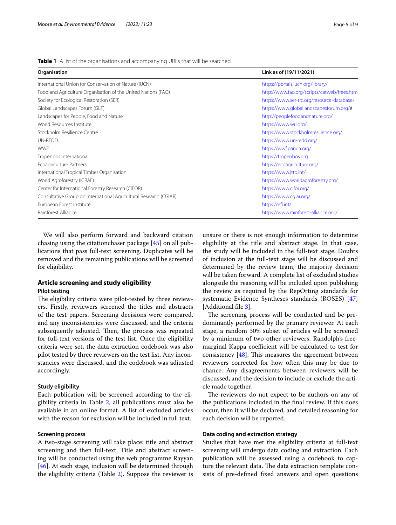<span id="page-4-0"></span>

| Organisation                                                      | Link as of (19/11/2021)<br>https://portals.iucn.org/library/ |  |
|-------------------------------------------------------------------|--------------------------------------------------------------|--|
| International Union for Conservation of Nature (IUCN)             |                                                              |  |
| Food and Agriculture Organisation of the United Nations (FAO)     | http://www.fao.org/scripts/catweb/frees.htm                  |  |
| Society for Ecological Restoration (SER)                          | https://www.ser-rrc.org/resource-database/                   |  |
| Global Landscapes Forum (GLF)                                     | https://www.globallandscapesforum.org/#                      |  |
| Landscapes for People, Food and Nature                            | http://peoplefoodandnature.org/                              |  |
| World Resources Institute                                         | https://www.wri.org/                                         |  |
| Stockholm Resilience Centre                                       | https://www.stockholmresilience.org/                         |  |
| UN-REDD                                                           | https://www.un-redd.org/                                     |  |
| <b>WWF</b>                                                        | https://wwf.panda.org/                                       |  |
| Tropenbos International                                           | https://tropenbos.org                                        |  |
| Ecoagriculture Partners                                           | https://ecoagriculture.org/                                  |  |
| International Tropical Timber Organisation                        | https://www.itto.int/                                        |  |
| World Agroforestry (ICRAF)                                        | https://www.worldagroforestry.org/                           |  |
| Center for International Forestry Research (CIFOR)                | https://www.cifor.org/                                       |  |
| Consultative Group on International Agricultural Research (CGIAR) | https://www.cqiar.org/                                       |  |
| European Forest Institute                                         | https://efi.int/                                             |  |
| Rainforest Alliance                                               | https://www.rainforest-alliance.org/                         |  |

We will also perform forward and backward citation chasing using the citationchaser package [[45\]](#page-7-43) on all publications that pass full-text screening. Duplicates will be removed and the remaining publications will be screened for eligibility.

# **Article screening and study eligibility Pilot testing**

The eligibility criteria were pilot-tested by three reviewers. Firstly, reviewers screened the titles and abstracts of the test papers. Screening decisions were compared, and any inconsistencies were discussed, and the criteria subsequently adjusted. Then, the process was repeated for full-text versions of the test list. Once the eligibility criteria were set, the data extraction codebook was also pilot tested by three reviewers on the test list. Any inconstancies were discussed, and the codebook was adjusted accordingly.

# **Study eligibility**

Each publication will be screened according to the eligibility criteria in Table [2](#page-5-0), all publications must also be available in an online format. A list of excluded articles with the reason for exclusion will be included in full text.

# **Screening process**

A two-stage screening will take place: title and abstract screening and then full-text. Title and abstract screening will be conducted using the web programme Rayyan [[46\]](#page-7-44). At each stage, inclusion will be determined through the eligibility criteria (Table [2\)](#page-5-0). Suppose the reviewer is unsure or there is not enough information to determine eligibility at the title and abstract stage. In that case, the study will be included in the full-text stage. Doubts of inclusion at the full-text stage will be discussed and determined by the review team, the majority decision will be taken forward. A complete list of excluded studies alongside the reasoning will be included upon publishing the review as required by the RepOrting standards for systematic Evidence Syntheses standards (ROSES) [[47](#page-7-45)] [Additional file [3](#page-6-3)].

The screening process will be conducted and be predominantly performed by the primary reviewer. At each stage, a random 30% subset of articles will be screened by a minimum of two other reviewers. Randolph's freemarginal Kappa coefficient will be calculated to test for consistency  $[48]$  $[48]$ . This measures the agreement between reviewers corrected for how often this may be due to chance. Any disagreements between reviewers will be discussed, and the decision to include or exclude the article made together.

The reviewers do not expect to be authors on any of the publications included in the fnal review. If this does occur, then it will be declared, and detailed reasoning for each decision will be reported.

# **Data coding and extraction strategy**

Studies that have met the eligibility criteria at full-text screening will undergo data coding and extraction. Each publication will be assessed using a codebook to capture the relevant data. The data extraction template consists of pre-defned fxed answers and open questions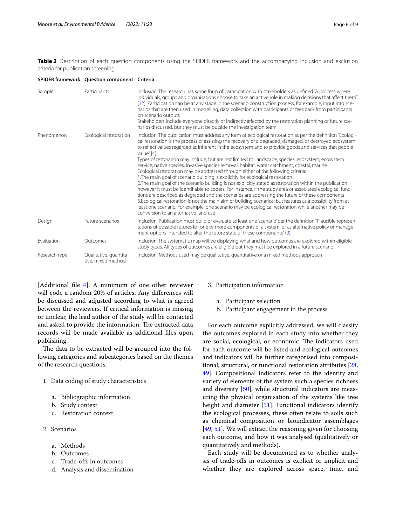<span id="page-5-0"></span>**Table 2** Description of each question components using the SPIDER framework and the accompanying inclusion and exclusion criteria for publication screening

|               | SPIDER framework Question component Criteria |                                                                                                                                                                                                                                                                                                                                                                                                                                                                                                                                                                                                                                                                                                                                                                                                                                                                                                                                                                                                                                                                                                                                                                                                                                                                                                                  |
|---------------|----------------------------------------------|------------------------------------------------------------------------------------------------------------------------------------------------------------------------------------------------------------------------------------------------------------------------------------------------------------------------------------------------------------------------------------------------------------------------------------------------------------------------------------------------------------------------------------------------------------------------------------------------------------------------------------------------------------------------------------------------------------------------------------------------------------------------------------------------------------------------------------------------------------------------------------------------------------------------------------------------------------------------------------------------------------------------------------------------------------------------------------------------------------------------------------------------------------------------------------------------------------------------------------------------------------------------------------------------------------------|
| Sample        | Participants                                 | Inclusion: The research has some form of participation with stakeholders as defined "A process where<br>individuals, groups and organisations choose to take an active role in making decisions that affect them"<br>[12]. Participation can be at any stage in the scenario construction process, for example, input into sce-<br>narios that are then used in modelling, data collection with participants or feedback from participants<br>on scenario outputs<br>Stakeholders include everyone directly or indirectly affected by the restoration planning or future sce-<br>narios discussed, but they must be outside the investigation team                                                                                                                                                                                                                                                                                                                                                                                                                                                                                                                                                                                                                                                               |
| Phenomenon    | Ecological restoration                       | Inclusion: The publication must address any form of ecological restoration as per the definition "Ecologi-<br>cal restoration is the process of assisting the recovery of a degraded, damaged, or destroyed ecosystem<br>to reflect values regarded as inherent in the ecosystem and to provide goods and services that people<br>value" [4]<br>Types of restoration may include, but are not limited to: landscape, species, ecosystem, ecosystem<br>service, native species, invasive species removal, habitat, water catchment, coastal, marine<br>Ecological restoration may be addressed through either of the following criteria:<br>1. The main goal of scenario building is explicitly for ecological restoration<br>2. The main goal of the scenario building is not explicitly stated as restoration within the publication<br>however it must be identifiable to coders. For instance, if the study area or associated ecological func-<br>tions are described as degraded and the scenarios are addressing the future of these components<br>3. Ecological restoration is not the main aim of building scenarios, but features as a possibility from at<br>least one scenario. For example, one scenario may be ecological restoration while another may be<br>conversion to an alternative land use |
| Design        | Future scenarios                             | Inclusion: Publication must build or evaluate as least one 'scenario' per the definition "Plausible represen-<br>tations of possible futures for one or more components of a system, or as alternative policy or manage-<br>ment options intended to alter the future state of these components" (9)                                                                                                                                                                                                                                                                                                                                                                                                                                                                                                                                                                                                                                                                                                                                                                                                                                                                                                                                                                                                             |
| Evaluation    | Outcomes                                     | Inclusion: The systematic map will be displaying what and how outcomes are explored within eligible<br>study types. All types of outcomes are eligible but they must be explored in a future scenario                                                                                                                                                                                                                                                                                                                                                                                                                                                                                                                                                                                                                                                                                                                                                                                                                                                                                                                                                                                                                                                                                                            |
| Research type | Qualitative, quantita-<br>tive, mixed method | Inclusion: Methods used may be qualitative, quantitative or a mixed methods approach                                                                                                                                                                                                                                                                                                                                                                                                                                                                                                                                                                                                                                                                                                                                                                                                                                                                                                                                                                                                                                                                                                                                                                                                                             |

[Additional fle [4\]](#page-6-4). A minimum of one other reviewer will code a random 20% of articles. Any diferences will be discussed and adjusted according to what is agreed between the reviewers. If critical information is missing or unclear, the lead author of the study will be contacted and asked to provide the information. The extracted data records will be made available as additional fles upon publishing.

The data to be extracted will be grouped into the following categories and subcategories based on the themes of the research questions:

- 1. Data coding of study characteristics
	- a. Bibliographic information
	- b. Study context
	- c. Restoration context
- 2. Scenarios
	- a. Methods
	- b. Outcomes
	- c. Trade-ofs in outcomes
	- d. Analysis and dissemination

## 3. Participation information

- a. Participant selection
- b. Participant engagement in the process

For each outcome explicitly addressed, we will classify the outcomes explored in each study into whether they are social, ecological, or economic. The indicators used for each outcome will be listed and ecological outcomes and indicators will be further categorised into compositional, structural, or functional restoration attributes [[28](#page-7-23), [49\]](#page-7-47). Compositional indicators refer to the identity and variety of elements of the system such a species richness and diversity [\[50\]](#page-7-48), while structural indicators are measuring the physical organisation of the systems like tree height and diameter [\[51](#page-8-0)]. Functional indicators identify the ecological processes, these often relate to soils such as chemical composition or bioindicator assemblages [[49,](#page-7-47) [51](#page-8-0)]. We will extract the reasoning given for choosing each outcome, and how it was analysed (qualitatively or quantitatively and methods).

Each study will be documented as to whether analysis of trade-ofs in outcomes is explicit or implicit and whether they are explored across space, time, and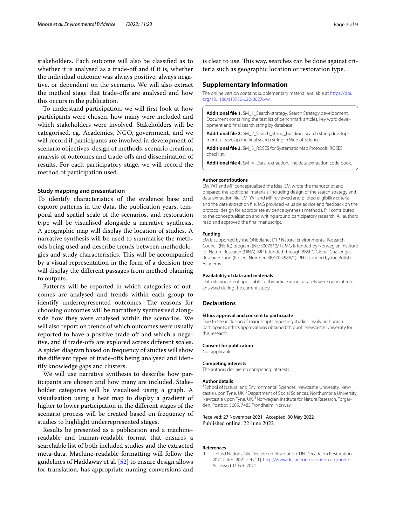stakeholders. Each outcome will also be classifed as to whether it is analysed as a trade-off and if it is, whether the individual outcome was always positive, always negative, or dependent on the scenario. We will also extract the method stage that trade-ofs are analysed and how this occurs in the publication.

To understand participation, we will frst look at how participants were chosen, how many were included and which stakeholders were involved. Stakeholders will be categorised, eg. Academics, NGO, government, and we will record if participants are involved in development of scenario objectives, design of methods, scenario creation, analysis of outcomes and trade-ofs and dissemination of results. For each participatory stage, we will record the method of participation used.

# **Study mapping and presentation**

To identify characteristics of the evidence base and explore patterns in the data, the publication years, temporal and spatial scale of the scenarios, and restoration type will be visualised alongside a narrative synthesis. A geographic map will display the location of studies. A narrative synthesis will be used to summarise the methods being used and describe trends between methodologies and study characteristics. This will be accompanied by a visual representation in the form of a decision tree will display the diferent passages from method planning to outputs.

Patterns will be reported in which categories of outcomes are analysed and trends within each group to identify underrepresented outcomes. The reasons for choosing outcomes will be narratively synthesised alongside how they were analysed within the scenarios. We will also report on trends of which outcomes were usually reported to have a positive trade-off and which a negative, and if trade-ofs are explored across diferent scales. A spider diagram based on frequency of studies will show the diferent types of trade-ofs being analysed and identify knowledge gaps and clusters.

We will use narrative synthesis to describe how participants are chosen and how many are included. Stakeholder categories will be visualised using a graph. A visualisation using a heat map to display a gradient of higher to lower participation in the diferent stages of the scenario process will be created based on frequency of studies to highlight underrepresented stages.

Results be presented as a publication and a machinereadable and human-readable format that ensures a searchable list of both included studies and the extracted meta-data. Machine-readable formatting will follow the guidelines of Haddaway et al. [[52\]](#page-8-1) to ensure design allows for translation, has appropriate naming conversions and is clear to use. This way, searches can be done against criteria such as geographic location or restoration type.

#### **Supplementary Information**

The online version contains supplementary material available at [https://doi.](https://doi.org/10.1186/s13750-022-00276-w) [org/10.1186/s13750-022-00276-w.](https://doi.org/10.1186/s13750-022-00276-w)

<span id="page-6-1"></span>**Additional fle 1.** SM\_1\_Search-strategy. Search Strategy development. Document containing the test list of benchmark articles, key word development and fnal search string by database.

<span id="page-6-3"></span><span id="page-6-2"></span>**Additional fle 2.** SM\_2\_Search\_string\_building. Search string development to develop the fnal search string in Web of Science.

<span id="page-6-4"></span>**Additional fle 3.** SM\_3\_ROSES for Systematic Map Protocols. ROSES checklist.

**Additional fle 4.** SM\_4\_Data\_extraction. The data extraction code book.

#### **Author contributions**

EM, YAT and MP conceptualised the idea. EM wrote the manuscript and prepared the additional materials, including design of the search strategy and data extraction fle. EM, YAT and MP reviewed and piloted eligibility criteria and the data extraction fle. MG provided valuable advice and feedback on the protocol design for appropriate evidence synthesis methods. PH contributed to the conceptualisation and writing around participatory research. All authors read and approved the fnal manuscript.

#### **Funding**

EM is supported by the ONEplanet DTP Natural Environmental Research Council (NERC) program (NE/S007512/1). MG is funded by Norwegian Institute for Nature Research (NINA). MP is funded through BBSRC Global Challenges Research Fund (Project Number: BB/S014586/1). PH is funded by the British Academy.

#### **Availability of data and materials**

Data sharing is not applicable to this article as no datasets were generated or analysed during the current study.

#### **Declarations**

#### **Ethics approval and consent to participate**

Due to the inclusion of manuscripts reporting studies involving human participants, ethics approval was obtained through Newcastle University for this research.

#### **Consent for publication**

Not applicable.

#### **Competing interests**

The authors declare no competing interests.

#### **Author details**

<sup>1</sup> School of Natural and Environmental Sciences, Newcastle University, Newcastle upon Tyne, UK. <sup>2</sup> Department of Social Sciences, Northumbria University, Newcastle upon Tyne, UK. <sup>3</sup> Norwegian Institute for Nature Research, Torgarden, Postbox 5685, 7485 Trondheim, Norway.

#### Received: 27 November 2021 Accepted: 30 May 2022 Published online: 22 June 2022

#### **References**

<span id="page-6-0"></span>1. United Nations. UN Decade on Restoration. UN Decade on Restoration. 2021 [cited 2021 Feb 11]. [http://www.decadeonrestoration.org/node.](http://www.decadeonrestoration.org/node) Accessed 11 Feb 2021.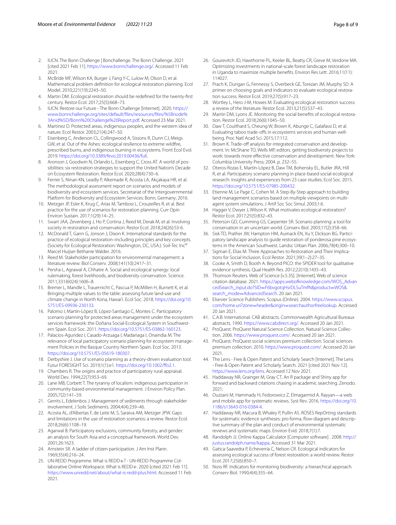- <span id="page-7-0"></span>2. IUCN. The Bonn Challenge | Bonchallenge. The Bonn Challenge. 2021 [cited 2021 Feb 11]. [https://www.bonnchallenge.org/.](https://www.bonnchallenge.org/) Accessed 11 Feb 2021.
- <span id="page-7-1"></span>3. McBride MF, Wilson KA, Burger J, Fang Y-C, Lulow M, Olson D, et al. Mathematical problem defnition for ecological restoration planning. Ecol Model. 2010;221(19):2243–50.
- <span id="page-7-2"></span>4. Martin DM. Ecological restoration should be redefned for the twenty-frst century. Restor Ecol. 2017;25(5):668–73.
- <span id="page-7-3"></span>5. IUCN. Restore our Future - The Bonn Challenge [Internet]. 2020. [https://](https://www.bonnchallenge.org/sites/default/files/resources/files/%5Bnode%3Anid%5D/Bonn%20Challenge%20Report.pdf) [www.bonnchallenge.org/sites/default/fles/resources/fles/%5Bnode%](https://www.bonnchallenge.org/sites/default/files/resources/files/%5Bnode%3Anid%5D/Bonn%20Challenge%20Report.pdf) [3Anid%5D/Bonn%20Challenge%20Report.pdf](https://www.bonnchallenge.org/sites/default/files/resources/files/%5Bnode%3Anid%5D/Bonn%20Challenge%20Report.pdf). Accessed 23 Mar 2021.
- <span id="page-7-4"></span>6. Martinez D. Protected areas, indigenous peoples, and the western idea of nature. Ecol Restor. 2003;21(4):247–50.
- <span id="page-7-5"></span>7. Eisenberg C, Anderson CL, Collingwood A, Sissons R, Dunn CJ, Meigs GW, et al. Out of the Ashes: ecological resilience to extreme wildfre, prescribed burns, and indigenous burning in ecosystems. Front Ecol Evol. 2019.<https://doi.org/10.3389/fevo.2019.00436/full>.
- <span id="page-7-6"></span>8. Aronson J, Goodwin N, Orlando L, Eisenberg C, Cross AT. A world of possibilities: six restoration strategies to support the United Nation's Decade on Ecosystem Restoration. Restor Ecol. 2020;28(4):730–6.
- <span id="page-7-7"></span>9. Ferrier S, Ninan KN, Leadly P, Alkemade R, Acosta LA, Akçakaya HR, et al. The methodological assessment report on scenarios and models of biodiversity and ecosystem services. Secretariat of the Intergovernmental Platform for Biodiversity and Ecosystem Services: Bonn, Germany; 2016.
- <span id="page-7-8"></span>10. Metzger JP, Esler K, Krug C, Arias M, Tambosi L, Crouzeilles R, et al. Best practice for the use of scenarios for restoration planning. Curr Opin Environ Sustain. 2017;1(29):14–25.
- <span id="page-7-9"></span>11. Swart JAA, Zevenberg J, Ho P, Cortina J, Reed M, Derak M, et al. Involving society in restoration and conservation. Restor Ecol. 2018;24(26):S3-6.
- <span id="page-7-10"></span>12. McDonald T, Gann G, Jonson J, Dixon K. International standards for the practice of ecological restoration–including principles and key concepts. (Society for Ecological Restoration: Washington, DC, USA.). Soil-Tec Inc© Marcel Huijser Bethanie Walder. 2016.
- <span id="page-7-11"></span>13. Reed M. Stakeholder participation for environmental management: a literature review. Biol Conserv. 2008;141(10):2417–31.
- <span id="page-7-12"></span>14. Persha L, Agrawal A, Chhatre A. Social and ecological synergy: local rulemaking, forest livelihoods, and biodiversity conservation. Science. 2011;331(6024):1606–8.
- <span id="page-7-13"></span>15. Bremer L, Mandle L, Trauernicht C, Pascua P, McMillen H, Burnett K, et al. Bringing multiple values to the table: assessing future land-use and climate change in North Kona, Hawai'i. Ecol Soc. 2018. [https://doi.org/10.](https://doi.org/10.5751/ES-09936-230133) [5751/ES-09936-230133.](https://doi.org/10.5751/ES-09936-230133)
- <span id="page-7-14"></span>16. Palomo I, Martín-López B, López-Santiago C, Montes C. Participatory scenario planning for protected areas management under the ecosystem services framework: the Doñana Social-Ecological System in Southwestern Spain. Ecol Soc. 2011. [https://doi.org/10.5751/ES-03862-160123.](https://doi.org/10.5751/ES-03862-160123)
- <span id="page-7-15"></span>17. Palacios-Agundez I, Casado-Arzuaga I, Madariaga I, Onaindia M. The relevance of local participatory scenario planning for ecosystem management Policies in the Basque Country Northern Spain. Ecol Soc. 2013. <https://doi.org/10.5751/ES-05619-180307>.
- <span id="page-7-16"></span>18. Derbyshire J. Use of scenario planning as a theory-driven evaluation tool. Futur FORESIGHT Sci. 2019;1(1):e1. [https://doi.org/10.1002/fo2.1.](https://doi.org/10.1002/ffo2.1)
- <span id="page-7-17"></span>19. Chambers R. The origins and practice of participatory rural appraisal. World Dev. 1994;22(7):953–69.
- <span id="page-7-18"></span>20. Lane MB, Corbett T. The tyranny of localism: indigenous participation in community-based environmental management. J Environ Policy Plan. 2005;7(2):141–59.
- <span id="page-7-19"></span>21. Gerrits L, Edelenbos J. Management of sediments through stakeholder involvement. J Soils Sediments. 2004;4(4):239–46.
- <span id="page-7-32"></span>22. Acosta AL, d'Albertas F, de Leite M, S, Saraiva AM, Metzger JPW. Gaps and limitations in the use of restoration scenarios: a review. Restor Ecol. 2018;26(6):1108–19.
- <span id="page-7-33"></span>23. Agarwal B. Participatory exclusions, community forestry, and gender: an analysis for South Asia and a conceptual framework. World Dev. 2001;26:1623.
- <span id="page-7-34"></span>24. Arnstein SR. A ladder of citizen participation. J Am Inst Plann. 1969;35(4):216–24.
- <span id="page-7-20"></span>25. UN-REDD Programme. What is REDD+? - UN-REDD Programme Collaborative Online Workspace. What is REDD+. 2020 [cited 2021 Feb 11]. <https://www.unredd.net/about/what-is-redd-plus.html>. Accessed 11 Feb 2021.
- <span id="page-7-21"></span>26. Gourevitch JD, Hawthorne PL, Keeler BL, Beatty CR, Greve M, Verdone MA. Optimizing investments in national-scale forest landscape restoration in Uganda to maximize multiple benefts. Environ Res Lett. 2016;11(11): 114027.
- <span id="page-7-22"></span>27. Prach K, Durigan G, Fennessy S, Overbeck GE, Torezan JM, Murphy SD. A primer on choosing goals and indicators to evaluate ecological restoration success. Restor Ecol. 2019;27(5):917–23.
- <span id="page-7-23"></span>28. Wortley L, Hero J-M, Howes M. Evaluating ecological restoration success: a review of the literature. Restor Ecol. 2013;21(5):537–43.
- <span id="page-7-24"></span>29. Martin DM, Lyons JE. Monitoring the social benefts of ecological restoration. Restor Ecol. 2018;26(6):1045–50.
- <span id="page-7-25"></span>30. Daw T, Coulthard S, Cheung W, Brown K, Abunge C, Galafassi D, et al. Evaluating taboo trade-offs in ecosystems services and human wellbeing. Proc Natl Acad Sci. 2015;17:112.
- <span id="page-7-26"></span>31. Brown K. Trade-off analysis for integrated conservation and development. In: McShane TO, Wells MP, editors. getting biodiversity projects to work: towards more efective conservation and development. New York: Columbia University Press; 2004. p. 232–55.
- <span id="page-7-27"></span>32. Oteros-Rozas E, Martín-López B, Daw TM, Bohensky EL, Butler JRA, Hill R, et al. Participatory scenario planning in place-based social-ecological research: insights and experiences from 23 case studies. Ecol Soc. 2015. <https://doi.org/10.5751/ES-07985-200432>.
- <span id="page-7-28"></span>33. Etienne M, Le Page C, Cohen M. A Step-By-Step approach to building land management scenarios based on multiple viewpoints on multiagent system simulations. J Artif Soc Soc Simul. 2003;1:6.
- <span id="page-7-29"></span>34. Hagger V, Dwyer J, Wilson K. What motivates ecological restoration? Restor Ecol. 2017;25(5):832–43.
- <span id="page-7-30"></span>35. Peterson GD, Cumming GS, Carpenter SR. Scenario planning: a tool for conservation in an uncertain world. Conserv Biol. 2003;17(2):358–66.
- <span id="page-7-31"></span>36. Sisk TD, Prather JW, Hampton HM, Aumack EN, Xu Y, Dickson BG. Participatory landscape analysis to guide restoration of ponderosa pine ecosystems in the American Southwest. Landsc Urban Plan. 2006;78(4):300–10.
- <span id="page-7-35"></span>37. Sigman E, Elias M. Three Approaches to Restoration and Their Implications for Social Inclusion. Ecol Restor. 2021;39(1–2):27–35.
- <span id="page-7-36"></span>38. Cooke A, Smith D, Booth A. Beyond PICO: the SPIDER tool for qualitative evidence synthesis. Qual Health Res. 2012;22(10):1435–43.
- <span id="page-7-37"></span>39. Thomson Reuters. Web of Science [v.5.35]. [Internet]. Web of science citation database. 2021. [https://apps.webofknowledge.com/WOS\\_Advan](https://apps.webofknowledge.com/WOS_AdvancedSearch_input.do?SID=F6bvgotqHsrDLSuTmfN&product=WOS&search_mode=AdvancedSearch) cedSearch\_input.do?SID=[F6bvgotqHsrDLSuTmfN&product](https://apps.webofknowledge.com/WOS_AdvancedSearch_input.do?SID=F6bvgotqHsrDLSuTmfN&product=WOS&search_mode=AdvancedSearch)=WOS& search\_mode=AdvancedSearch. 20 Jan 2021.
- <span id="page-7-38"></span>40. [Elsevier Science Publishers. Scopu](https://apps.webofknowledge.com/WOS_AdvancedSearch_input.do?SID=F6bvgotqHsrDLSuTmfN&product=WOS&search_mode=AdvancedSearch)s (Online). 2004. [https://www.scopus.](https://doi.org/https://www.scopus.com/home.uri?zone=header&origin=searchauthorfreelookup) com/home.uri?zone=header&origin=[searchauthorfreelookup](https://doi.org/https://www.scopus.com/home.uri?zone=header&origin=searchauthorfreelookup). Accessed 20 Jan 2021.
- <span id="page-7-39"></span>41. C.A.B. International. CAB abstracts. Commonwealth Agricultural Bureaux abstracts. 1990. [https://www.cabdirect.org/.](https://www.cabdirect.org/) Accessed 20 Jan 2021.
- <span id="page-7-40"></span>42. ProQuest. ProQuest Natural Science Collection. Natural Science Collection. 2006.<https://www.proquest.com/>. Accessed 20 Jan 2021.
- <span id="page-7-41"></span>43. ProQuest. ProQuest social sciences premium collection. Social sciences premium collection. 2010.<https://www.proquest.com/>. Accessed 20 Jan 2021.
- <span id="page-7-42"></span>44. The Lens - Free & Open Patent and Scholarly Search [Internet]. The Lens - Free & Open Patent and Scholarly Search. 2021 [cited 2021 Nov 12]. <https://www.lens.org/lens>. Accessed 12 Nov 2021.
- <span id="page-7-43"></span>45. Haddaway NR, Grainger M, Gray CT. An R package and Shiny app for forward and backward citations chasing in academic searching. Zenodo. 2021;
- <span id="page-7-44"></span>46. Ouzzani M, Hammady H, Fedorowicz Z, Elmagarmid A. Rayyan—a web and mobile app for systematic reviews. Syst Rev. 2016. [https://doi.org/10.](https://doi.org/10.1186/s13643-016-0384-4) [1186/s13643-016-0384-4](https://doi.org/10.1186/s13643-016-0384-4).
- <span id="page-7-45"></span>47. Haddaway NR, Macura B, Whaley P, Pullin AS. ROSES RepOrting standards for systematic evidence syntheses: pro forma, flow-diagram and descriptive summary of the plan and conduct of environmental systematic reviews and systematic maps. Environ Evid. 2018;7(1):7.
- <span id="page-7-46"></span>48. Randolph JJ. Online Kappa Calculator [Computer software] . 2008. [http://](http://justus.randolph.name/kappa) [justus.randolph.name/kappa](http://justus.randolph.name/kappa). Accessed 31 Mar 2021.
- <span id="page-7-47"></span>49. Gatica-Saavedra P, Echeverría C, Nelson CR. Ecological indicators for assessing ecological success of forest restoration: a world review. Restor Ecol. 2017;25(6):850–7.
- <span id="page-7-48"></span>50. Noss RF. Indicators for monitoring biodiversity: a hierarchical approach. Conserv Biol. 1990;4(4):355–64.